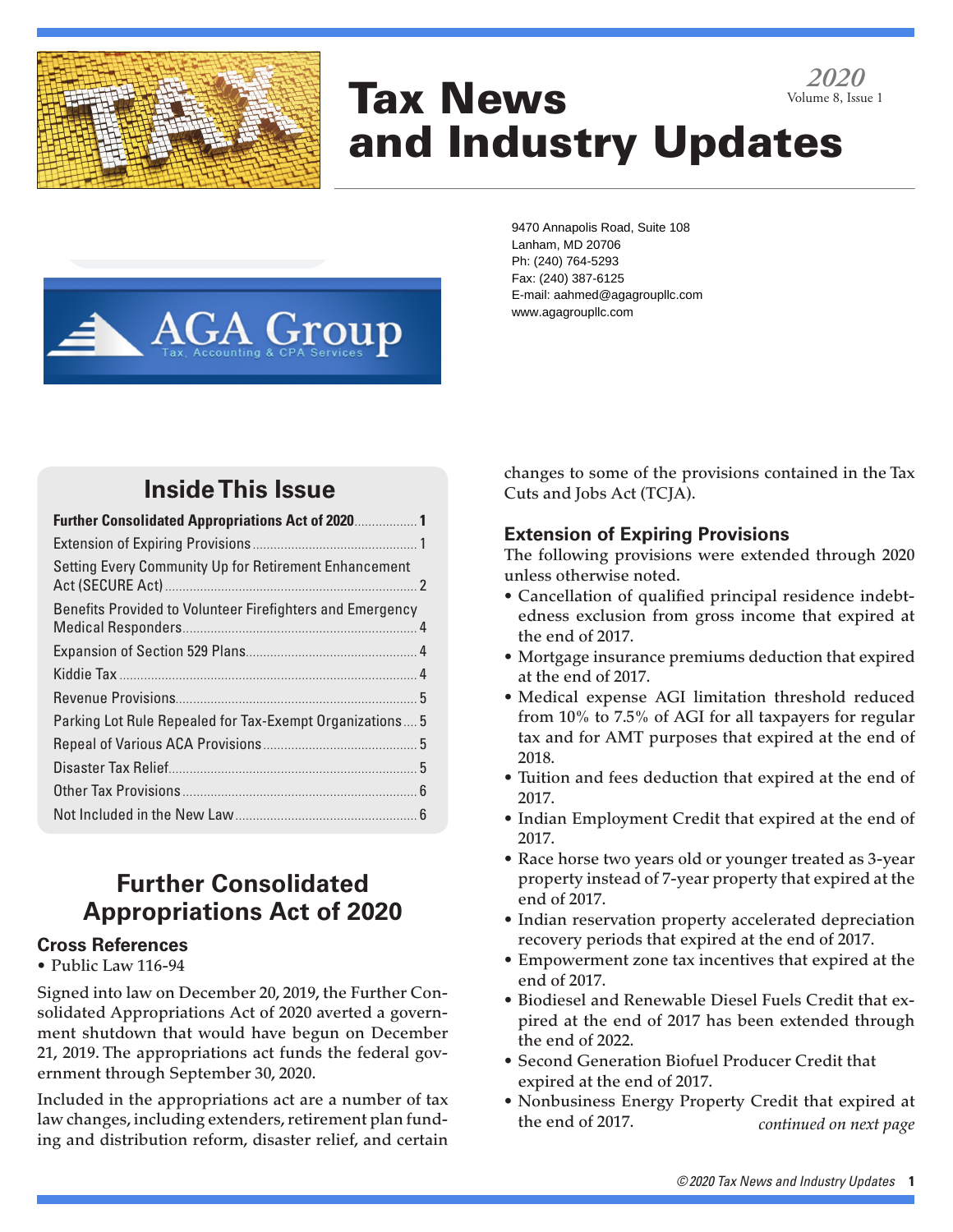

# Tax News and Industry Updates *2020* Volume 8, Issue 1

9470 Annapolis Road, Suite 108

Lanham, MD 20706

Ph: (240) 764-5293 Fax: (240) 387-6125 E-mail: aahmed@agagroupllc.com www.agagroupllc.com**AGA Group** 

## **Inside This Issue**

| <b>Further Consolidated Appropriations Act of 2020</b>    |  |
|-----------------------------------------------------------|--|
|                                                           |  |
| Setting Every Community Up for Retirement Enhancement     |  |
| Benefits Provided to Volunteer Firefighters and Emergency |  |
|                                                           |  |
|                                                           |  |
|                                                           |  |
| Parking Lot Rule Repealed for Tax-Exempt Organizations 5  |  |
|                                                           |  |
|                                                           |  |
|                                                           |  |
|                                                           |  |

## **Further Consolidated Appropriations Act of 2020**

## **Cross References**

### • Public Law 116-94

Signed into law on December 20, 2019, the Further Consolidated Appropriations Act of 2020 averted a government shutdown that would have begun on December 21, 2019. The appropriations act funds the federal government through September 30, 2020.

Included in the appropriations act are a number of tax law changes, including extenders, retirement plan funding and distribution reform, disaster relief, and certain changes to some of the provisions contained in the Tax Cuts and Jobs Act (TCJA).

## **Extension of Expiring Provisions**

The following provisions were extended through 2020 unless otherwise noted.

- Cancellation of qualified principal residence indebtedness exclusion from gross income that expired at the end of 2017.
- Mortgage insurance premiums deduction that expired at the end of 2017.
- Medical expense AGI limitation threshold reduced from 10% to 7.5% of AGI for all taxpayers for regular tax and for AMT purposes that expired at the end of 2018.
- Tuition and fees deduction that expired at the end of 2017.
- Indian Employment Credit that expired at the end of 2017.
- Race horse two years old or younger treated as 3-year property instead of 7-year property that expired at the end of 2017.
- Indian reservation property accelerated depreciation recovery periods that expired at the end of 2017.
- Empowerment zone tax incentives that expired at the end of 2017.
- Biodiesel and Renewable Diesel Fuels Credit that expired at the end of 2017 has been extended through the end of 2022.
- Second Generation Biofuel Producer Credit that expired at the end of 2017.
- Nonbusiness Energy Property Credit that expired at the end of 2017. *continued on next page*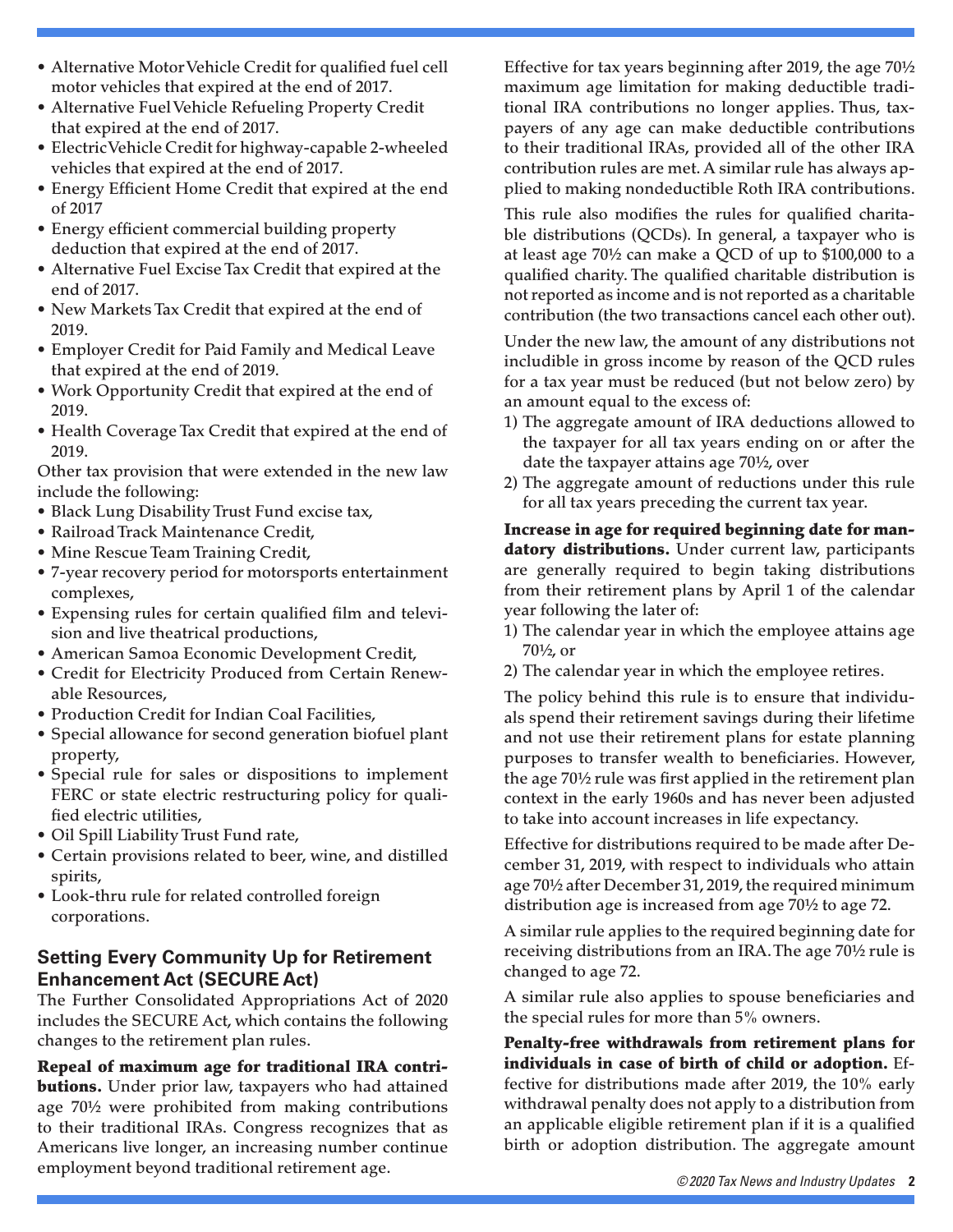- Alternative Motor Vehicle Credit for qualified fuel cell motor vehicles that expired at the end of 2017.
- Alternative Fuel Vehicle Refueling Property Credit that expired at the end of 2017.
- Electric Vehicle Credit for highway-capable 2-wheeled vehicles that expired at the end of 2017.
- Energy Efficient Home Credit that expired at the end of 2017
- Energy efficient commercial building property deduction that expired at the end of 2017.
- Alternative Fuel Excise Tax Credit that expired at the end of 2017.
- New Markets Tax Credit that expired at the end of 2019.
- Employer Credit for Paid Family and Medical Leave that expired at the end of 2019.
- Work Opportunity Credit that expired at the end of 2019.
- Health Coverage Tax Credit that expired at the end of 2019.

Other tax provision that were extended in the new law include the following:

- Black Lung Disability Trust Fund excise tax,
- Railroad Track Maintenance Credit,
- Mine Rescue Team Training Credit,
- 7-year recovery period for motorsports entertainment complexes,
- Expensing rules for certain qualified film and television and live theatrical productions,
- American Samoa Economic Development Credit,
- Credit for Electricity Produced from Certain Renewable Resources,
- Production Credit for Indian Coal Facilities,
- Special allowance for second generation biofuel plant property,
- Special rule for sales or dispositions to implement FERC or state electric restructuring policy for qualified electric utilities,
- Oil Spill Liability Trust Fund rate,
- Certain provisions related to beer, wine, and distilled spirits,
- Look-thru rule for related controlled foreign corporations.

## **Setting Every Community Up for Retirement Enhancement Act (SECURE Act)**

The Further Consolidated Appropriations Act of 2020 includes the SECURE Act, which contains the following changes to the retirement plan rules.

Repeal of maximum age for traditional IRA contri**butions.** Under prior law, taxpayers who had attained age 70½ were prohibited from making contributions to their traditional IRAs. Congress recognizes that as Americans live longer, an increasing number continue employment beyond traditional retirement age.

Effective for tax years beginning after 2019, the age 70½ maximum age limitation for making deductible traditional IRA contributions no longer applies. Thus, taxpayers of any age can make deductible contributions to their traditional IRAs, provided all of the other IRA contribution rules are met. A similar rule has always applied to making nondeductible Roth IRA contributions.

This rule also modifies the rules for qualified charitable distributions (QCDs). In general, a taxpayer who is at least age 70½ can make a QCD of up to \$100,000 to a qualified charity. The qualified charitable distribution is not reported as income and is not reported as a charitable contribution (the two transactions cancel each other out).

Under the new law, the amount of any distributions not includible in gross income by reason of the QCD rules for a tax year must be reduced (but not below zero) by an amount equal to the excess of:

- 1) The aggregate amount of IRA deductions allowed to the taxpayer for all tax years ending on or after the date the taxpayer attains age 70½, over
- 2) The aggregate amount of reductions under this rule for all tax years preceding the current tax year.

Increase in age for required beginning date for mandatory distributions. Under current law, participants are generally required to begin taking distributions from their retirement plans by April 1 of the calendar year following the later of:

- 1) The calendar year in which the employee attains age 70½, or
- 2) The calendar year in which the employee retires.

The policy behind this rule is to ensure that individuals spend their retirement savings during their lifetime and not use their retirement plans for estate planning purposes to transfer wealth to beneficiaries. However, the age 70½ rule was first applied in the retirement plan context in the early 1960s and has never been adjusted to take into account increases in life expectancy.

Effective for distributions required to be made after December 31, 2019, with respect to individuals who attain age 70½ after December 31, 2019, the required minimum distribution age is increased from age 70½ to age 72.

A similar rule applies to the required beginning date for receiving distributions from an IRA. The age 70½ rule is changed to age 72.

A similar rule also applies to spouse beneficiaries and the special rules for more than 5% owners.

Penalty-free withdrawals from retirement plans for individuals in case of birth of child or adoption. Effective for distributions made after 2019, the 10% early withdrawal penalty does not apply to a distribution from an applicable eligible retirement plan if it is a qualified birth or adoption distribution. The aggregate amount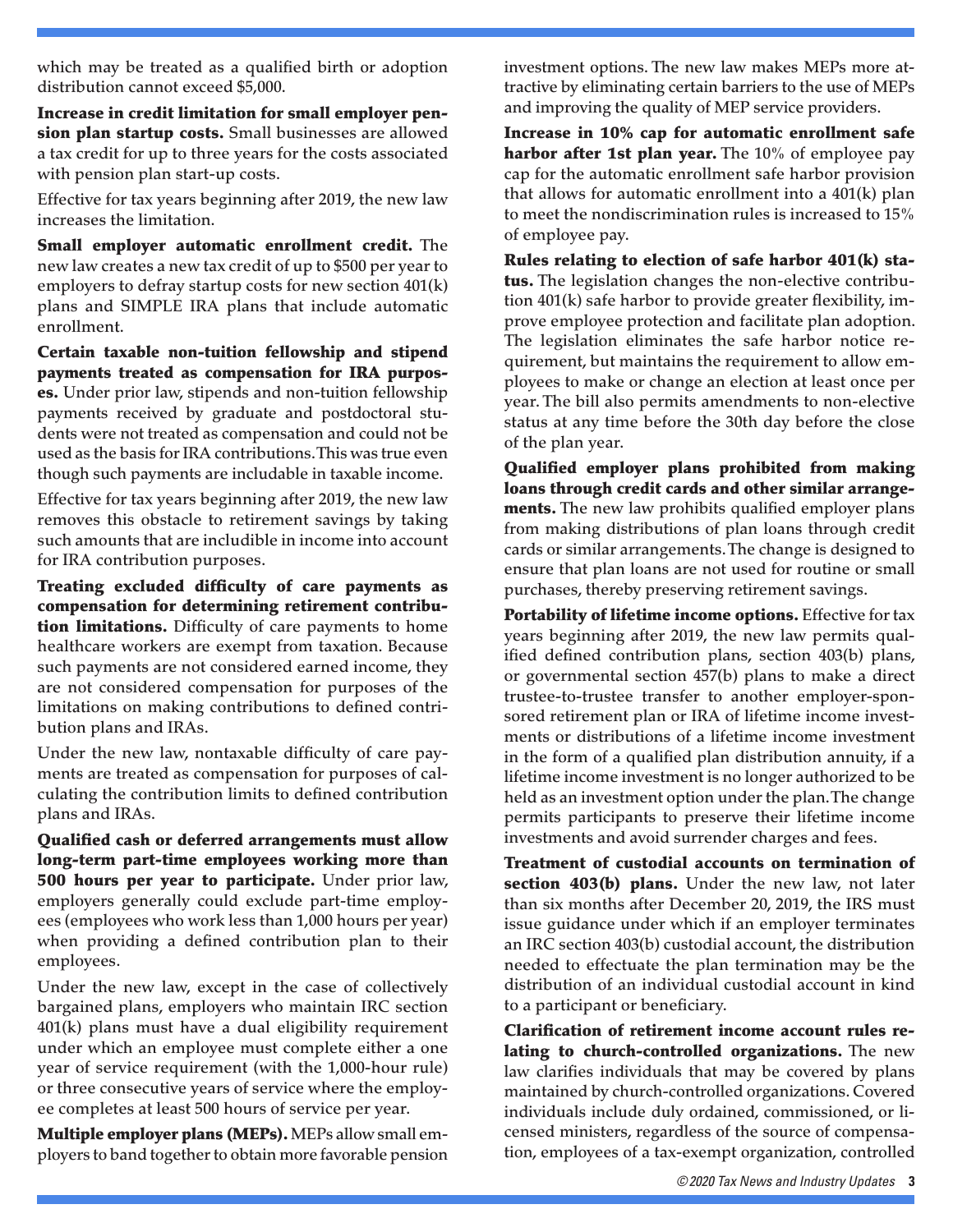which may be treated as a qualified birth or adoption distribution cannot exceed \$5,000.

Increase in credit limitation for small employer pension plan startup costs. Small businesses are allowed a tax credit for up to three years for the costs associated with pension plan start-up costs.

Effective for tax years beginning after 2019, the new law increases the limitation.

Small employer automatic enrollment credit. The new law creates a new tax credit of up to \$500 per year to employers to defray startup costs for new section 401(k) plans and SIMPLE IRA plans that include automatic enrollment.

Certain taxable non-tuition fellowship and stipend payments treated as compensation for IRA purposes. Under prior law, stipends and non-tuition fellowship payments received by graduate and postdoctoral students were not treated as compensation and could not be used as the basis for IRA contributions. This was true even though such payments are includable in taxable income.

Effective for tax years beginning after 2019, the new law removes this obstacle to retirement savings by taking such amounts that are includible in income into account for IRA contribution purposes.

Treating excluded difficulty of care payments as compensation for determining retirement contribution limitations. Difficulty of care payments to home healthcare workers are exempt from taxation. Because such payments are not considered earned income, they are not considered compensation for purposes of the limitations on making contributions to defined contribution plans and IRAs.

Under the new law, nontaxable difficulty of care payments are treated as compensation for purposes of calculating the contribution limits to defined contribution plans and IRAs.

Qualified cash or deferred arrangements must allow long-term part-time employees working more than 500 hours per year to participate. Under prior law, employers generally could exclude part-time employees (employees who work less than 1,000 hours per year) when providing a defined contribution plan to their employees.

Under the new law, except in the case of collectively bargained plans, employers who maintain IRC section 401(k) plans must have a dual eligibility requirement under which an employee must complete either a one year of service requirement (with the 1,000-hour rule) or three consecutive years of service where the employee completes at least 500 hours of service per year.

Multiple employer plans (MEPs). MEPs allow small employers to band together to obtain more favorable pension investment options. The new law makes MEPs more attractive by eliminating certain barriers to the use of MEPs and improving the quality of MEP service providers.

Increase in 10% cap for automatic enrollment safe harbor after 1st plan year. The 10% of employee pay cap for the automatic enrollment safe harbor provision that allows for automatic enrollment into a 401(k) plan to meet the nondiscrimination rules is increased to 15% of employee pay.

Rules relating to election of safe harbor 401(k) status. The legislation changes the non-elective contribution 401(k) safe harbor to provide greater flexibility, improve employee protection and facilitate plan adoption. The legislation eliminates the safe harbor notice requirement, but maintains the requirement to allow employees to make or change an election at least once per year. The bill also permits amendments to non-elective status at any time before the 30th day before the close of the plan year.

Qualified employer plans prohibited from making loans through credit cards and other similar arrangements. The new law prohibits qualified employer plans from making distributions of plan loans through credit cards or similar arrangements. The change is designed to ensure that plan loans are not used for routine or small purchases, thereby preserving retirement savings.

Portability of lifetime income options. Effective for tax years beginning after 2019, the new law permits qualified defined contribution plans, section 403(b) plans, or governmental section 457(b) plans to make a direct trustee-to-trustee transfer to another employer-sponsored retirement plan or IRA of lifetime income investments or distributions of a lifetime income investment in the form of a qualified plan distribution annuity, if a lifetime income investment is no longer authorized to be held as an investment option under the plan. The change permits participants to preserve their lifetime income investments and avoid surrender charges and fees.

Treatment of custodial accounts on termination of section 403(b) plans. Under the new law, not later than six months after December 20, 2019, the IRS must issue guidance under which if an employer terminates an IRC section 403(b) custodial account, the distribution needed to effectuate the plan termination may be the distribution of an individual custodial account in kind to a participant or beneficiary.

Clarification of retirement income account rules relating to church-controlled organizations. The new law clarifies individuals that may be covered by plans maintained by church-controlled organizations. Covered individuals include duly ordained, commissioned, or licensed ministers, regardless of the source of compensation, employees of a tax-exempt organization, controlled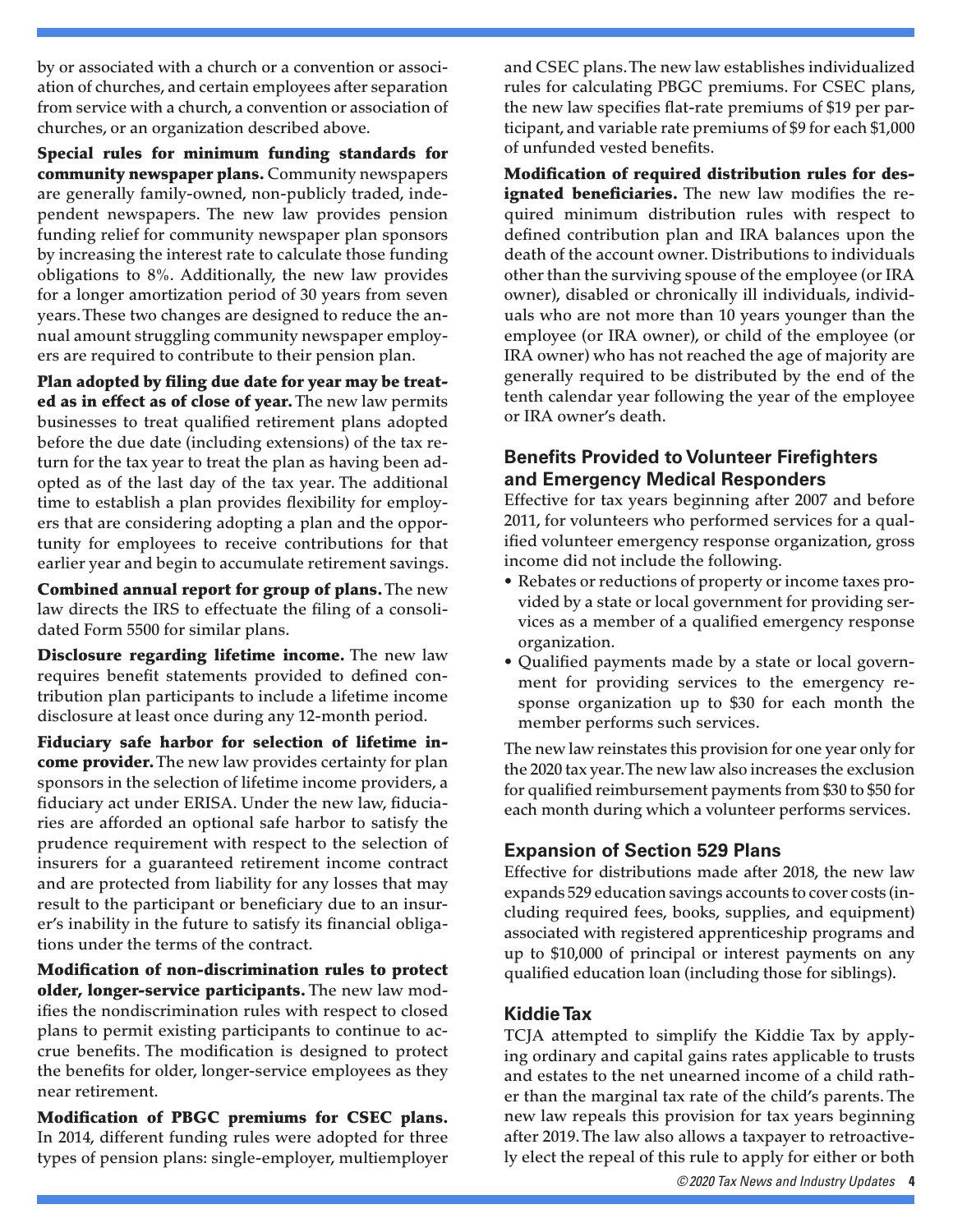by or associated with a church or a convention or association of churches, and certain employees after separation from service with a church, a convention or association of churches, or an organization described above.

Special rules for minimum funding standards for community newspaper plans. Community newspapers are generally family-owned, non-publicly traded, independent newspapers. The new law provides pension funding relief for community newspaper plan sponsors by increasing the interest rate to calculate those funding obligations to 8%. Additionally, the new law provides for a longer amortization period of 30 years from seven years. These two changes are designed to reduce the annual amount struggling community newspaper employers are required to contribute to their pension plan.

Plan adopted by filing due date for year may be treated as in effect as of close of year. The new law permits businesses to treat qualified retirement plans adopted before the due date (including extensions) of the tax return for the tax year to treat the plan as having been adopted as of the last day of the tax year. The additional time to establish a plan provides flexibility for employers that are considering adopting a plan and the opportunity for employees to receive contributions for that earlier year and begin to accumulate retirement savings.

Combined annual report for group of plans. The new law directs the IRS to effectuate the filing of a consolidated Form 5500 for similar plans.

**Disclosure regarding lifetime income.** The new law requires benefit statements provided to defined contribution plan participants to include a lifetime income disclosure at least once during any 12-month period.

Fiduciary safe harbor for selection of lifetime in**come provider.** The new law provides certainty for plan sponsors in the selection of lifetime income providers, a fiduciary act under ERISA. Under the new law, fiduciaries are afforded an optional safe harbor to satisfy the prudence requirement with respect to the selection of insurers for a guaranteed retirement income contract and are protected from liability for any losses that may result to the participant or beneficiary due to an insurer's inability in the future to satisfy its financial obligations under the terms of the contract.

Modification of non-discrimination rules to protect older, longer-service participants. The new law modifies the nondiscrimination rules with respect to closed plans to permit existing participants to continue to accrue benefits. The modification is designed to protect the benefits for older, longer-service employees as they near retirement.

Modification of PBGC premiums for CSEC plans. In 2014, different funding rules were adopted for three types of pension plans: single-employer, multiemployer and CSEC plans. The new law establishes individualized rules for calculating PBGC premiums. For CSEC plans, the new law specifies flat-rate premiums of \$19 per participant, and variable rate premiums of \$9 for each \$1,000 of unfunded vested benefits.

Modification of required distribution rules for des**ignated beneficiaries.** The new law modifies the required minimum distribution rules with respect to defined contribution plan and IRA balances upon the death of the account owner. Distributions to individuals other than the surviving spouse of the employee (or IRA owner), disabled or chronically ill individuals, individuals who are not more than 10 years younger than the employee (or IRA owner), or child of the employee (or IRA owner) who has not reached the age of majority are generally required to be distributed by the end of the tenth calendar year following the year of the employee or IRA owner's death.

## **Benefits Provided to Volunteer Firefighters and Emergency Medical Responders**

Effective for tax years beginning after 2007 and before 2011, for volunteers who performed services for a qualified volunteer emergency response organization, gross income did not include the following.

- Rebates or reductions of property or income taxes provided by a state or local government for providing services as a member of a qualified emergency response organization.
- Qualified payments made by a state or local government for providing services to the emergency response organization up to \$30 for each month the member performs such services.

The new law reinstates this provision for one year only for the 2020 tax year. The new law also increases the exclusion for qualified reimbursement payments from \$30 to \$50 for each month during which a volunteer performs services.

## **Expansion of Section 529 Plans**

Effective for distributions made after 2018, the new law expands 529 education savings accounts to cover costs (including required fees, books, supplies, and equipment) associated with registered apprenticeship programs and up to \$10,000 of principal or interest payments on any qualified education loan (including those for siblings).

## **Kiddie Tax**

TCJA attempted to simplify the Kiddie Tax by applying ordinary and capital gains rates applicable to trusts and estates to the net unearned income of a child rather than the marginal tax rate of the child's parents. The new law repeals this provision for tax years beginning after 2019. The law also allows a taxpayer to retroactively elect the repeal of this rule to apply for either or both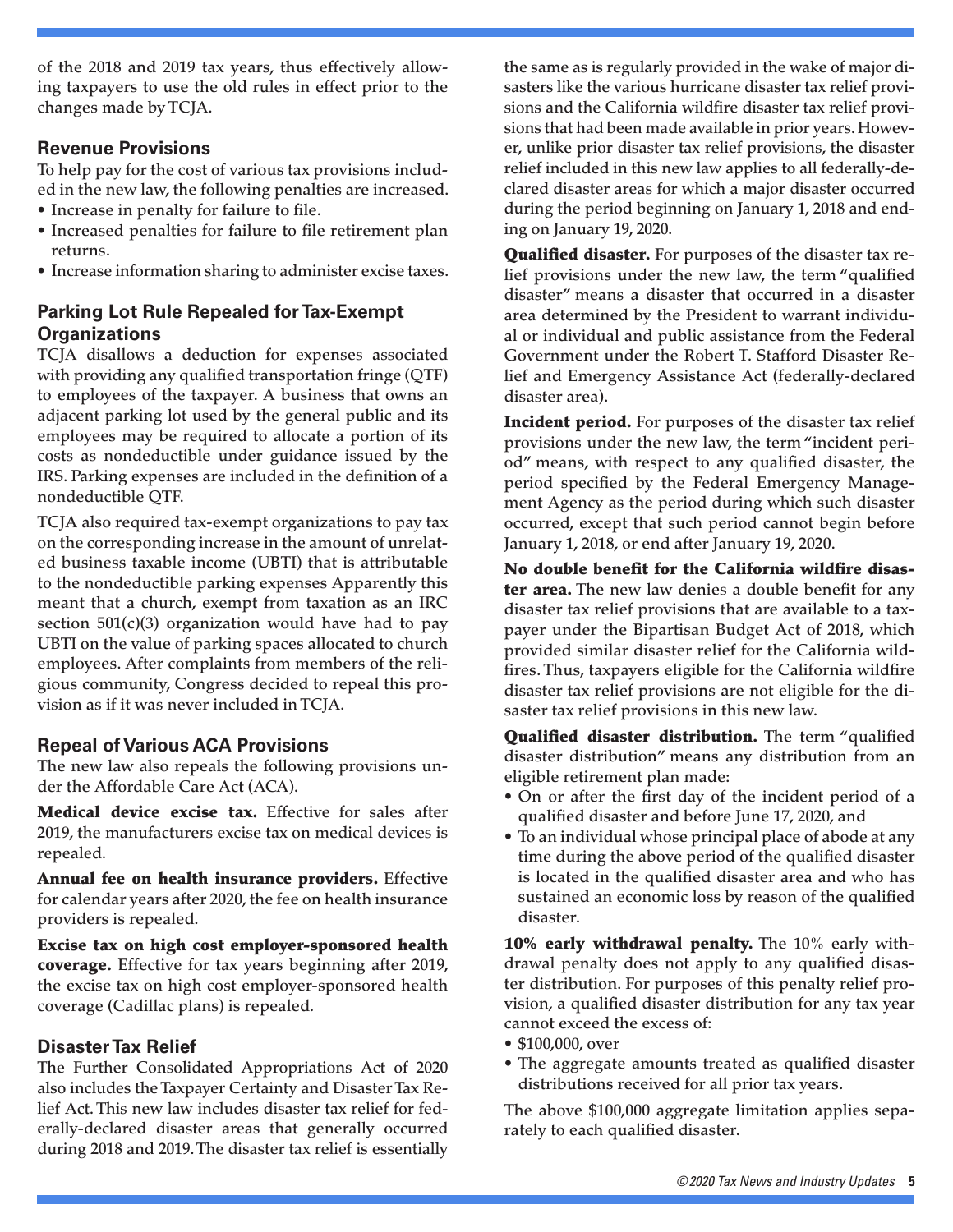of the 2018 and 2019 tax years, thus effectively allowing taxpayers to use the old rules in effect prior to the changes made by TCJA.

#### **Revenue Provisions**

To help pay for the cost of various tax provisions included in the new law, the following penalties are increased.

- Increase in penalty for failure to file.
- Increased penalties for failure to file retirement plan returns.
- Increase information sharing to administer excise taxes.

## **Parking Lot Rule Repealed for Tax-Exempt Organizations**

TCJA disallows a deduction for expenses associated with providing any qualified transportation fringe (QTF) to employees of the taxpayer. A business that owns an adjacent parking lot used by the general public and its employees may be required to allocate a portion of its costs as nondeductible under guidance issued by the IRS. Parking expenses are included in the definition of a nondeductible QTF.

TCJA also required tax-exempt organizations to pay tax on the corresponding increase in the amount of unrelated business taxable income (UBTI) that is attributable to the nondeductible parking expenses Apparently this meant that a church, exempt from taxation as an IRC section 501(c)(3) organization would have had to pay UBTI on the value of parking spaces allocated to church employees. After complaints from members of the religious community, Congress decided to repeal this provision as if it was never included in TCJA.

### **Repeal of Various ACA Provisions**

The new law also repeals the following provisions under the Affordable Care Act (ACA).

Medical device excise tax. Effective for sales after 2019, the manufacturers excise tax on medical devices is repealed.

Annual fee on health insurance providers. Effective for calendar years after 2020, the fee on health insurance providers is repealed.

Excise tax on high cost employer-sponsored health coverage. Effective for tax years beginning after 2019, the excise tax on high cost employer-sponsored health coverage (Cadillac plans) is repealed.

### **Disaster Tax Relief**

The Further Consolidated Appropriations Act of 2020 also includes the Taxpayer Certainty and Disaster Tax Relief Act. This new law includes disaster tax relief for federally-declared disaster areas that generally occurred during 2018 and 2019. The disaster tax relief is essentially the same as is regularly provided in the wake of major disasters like the various hurricane disaster tax relief provisions and the California wildfire disaster tax relief provisions that had been made available in prior years. However, unlike prior disaster tax relief provisions, the disaster relief included in this new law applies to all federally-declared disaster areas for which a major disaster occurred during the period beginning on January 1, 2018 and ending on January 19, 2020.

Qualified disaster. For purposes of the disaster tax relief provisions under the new law, the term "qualified disaster" means a disaster that occurred in a disaster area determined by the President to warrant individual or individual and public assistance from the Federal Government under the Robert T. Stafford Disaster Relief and Emergency Assistance Act (federally-declared disaster area).

**Incident period.** For purposes of the disaster tax relief provisions under the new law, the term "incident period" means, with respect to any qualified disaster, the period specified by the Federal Emergency Management Agency as the period during which such disaster occurred, except that such period cannot begin before January 1, 2018, or end after January 19, 2020.

No double benefit for the California wildfire disaster area. The new law denies a double benefit for any disaster tax relief provisions that are available to a taxpayer under the Bipartisan Budget Act of 2018, which provided similar disaster relief for the California wildfires. Thus, taxpayers eligible for the California wildfire disaster tax relief provisions are not eligible for the disaster tax relief provisions in this new law.

Qualified disaster distribution. The term "qualified disaster distribution" means any distribution from an eligible retirement plan made:

- On or after the first day of the incident period of a qualified disaster and before June 17, 2020, and
- To an individual whose principal place of abode at any time during the above period of the qualified disaster is located in the qualified disaster area and who has sustained an economic loss by reason of the qualified disaster.

10% early withdrawal penalty. The 10% early withdrawal penalty does not apply to any qualified disaster distribution. For purposes of this penalty relief provision, a qualified disaster distribution for any tax year cannot exceed the excess of:

- \$100,000, over
- The aggregate amounts treated as qualified disaster distributions received for all prior tax years.

The above \$100,000 aggregate limitation applies separately to each qualified disaster.